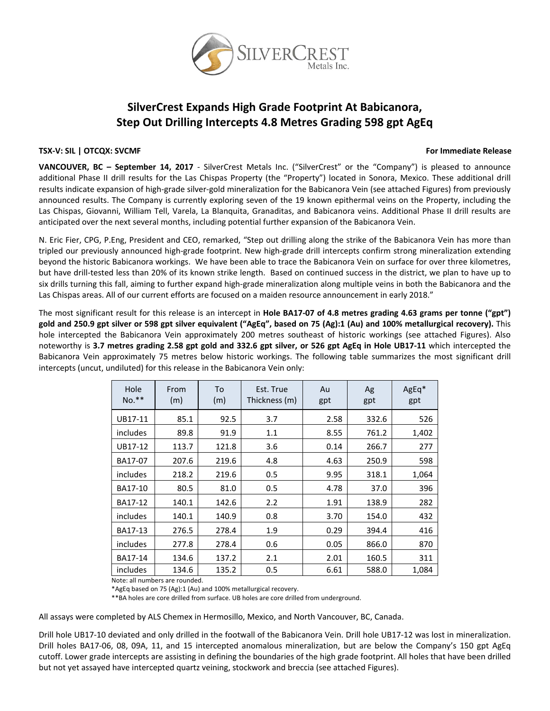

# **SilverCrest Expands High Grade Footprint At Babicanora, Step Out Drilling Intercepts 4.8 Metres Grading 598 gpt AgEq**

# **TSX‐V: SIL | OTCQX: SVCMF For Immediate Release**

**VANCOUVER, BC – September 14, 2017** ‐ SilverCrest Metals Inc. ("SilverCrest" or the "Company") is pleased to announce additional Phase II drill results for the Las Chispas Property (the "Property") located in Sonora, Mexico. These additional drill results indicate expansion of high‐grade silver‐gold mineralization for the Babicanora Vein (see attached Figures) from previously announced results. The Company is currently exploring seven of the 19 known epithermal veins on the Property, including the Las Chispas, Giovanni, William Tell, Varela, La Blanquita, Granaditas, and Babicanora veins. Additional Phase II drill results are anticipated over the next several months, including potential further expansion of the Babicanora Vein.

N. Eric Fier, CPG, P.Eng, President and CEO, remarked, "Step out drilling along the strike of the Babicanora Vein has more than tripled our previously announced high‐grade footprint. New high‐grade drill intercepts confirm strong mineralization extending beyond the historic Babicanora workings. We have been able to trace the Babicanora Vein on surface for over three kilometres, but have drill‐tested less than 20% of its known strike length. Based on continued success in the district, we plan to have up to six drills turning this fall, aiming to further expand high‐grade mineralization along multiple veins in both the Babicanora and the Las Chispas areas. All of our current efforts are focused on a maiden resource announcement in early 2018."

The most significant result for this release is an intercept in **Hole BA17‐07 of 4.8 metres grading 4.63 grams per tonne ("gpt")** gold and 250.9 gpt silver or 598 gpt silver equivalent ("AgEq", based on 75 (Ag):1 (Au) and 100% metallurgical recovery). This hole intercepted the Babicanora Vein approximately 200 metres southeast of historic workings (see attached Figures). Also noteworthy is 3.7 metres grading 2.58 gpt gold and 332.6 gpt silver, or 526 gpt AgEq in Hole UB17-11 which intercepted the Babicanora Vein approximately 75 metres below historic workings. The following table summarizes the most significant drill intercepts (uncut, undiluted) for this release in the Babicanora Vein only:

| Hole<br>$No.**$ | From<br>(m) | To<br>(m) | Est. True<br>Thickness (m) | Au<br>gpt | Ag<br>gpt | AgEq*<br>gpt |
|-----------------|-------------|-----------|----------------------------|-----------|-----------|--------------|
| UB17-11         | 85.1        | 92.5      | 3.7                        | 2.58      | 332.6     | 526          |
| includes        | 89.8        | 91.9      | 1.1                        | 8.55      | 761.2     | 1,402        |
| UB17-12         | 113.7       | 121.8     | 3.6                        | 0.14      | 266.7     | 277          |
| BA17-07         | 207.6       | 219.6     | 4.8                        | 4.63      | 250.9     | 598          |
| includes        | 218.2       | 219.6     | 0.5                        | 9.95      | 318.1     | 1,064        |
| BA17-10         | 80.5        | 81.0      | 0.5                        | 4.78      | 37.0      | 396          |
| BA17-12         | 140.1       | 142.6     | 2.2                        | 1.91      | 138.9     | 282          |
| includes        | 140.1       | 140.9     | 0.8                        | 3.70      | 154.0     | 432          |
| BA17-13         | 276.5       | 278.4     | 1.9                        | 0.29      | 394.4     | 416          |
| includes        | 277.8       | 278.4     | 0.6                        | 0.05      | 866.0     | 870          |
| BA17-14         | 134.6       | 137.2     | 2.1                        | 2.01      | 160.5     | 311          |
| includes        | 134.6       | 135.2     | 0.5                        | 6.61      | 588.0     | 1,084        |

Note: all numbers are rounded.

\*AgEq based on 75 (Ag):1 (Au) and 100% metallurgical recovery.

\*\*BA holes are core drilled from surface. UB holes are core drilled from underground.

All assays were completed by ALS Chemex in Hermosillo, Mexico, and North Vancouver, BC, Canada.

Drill hole UB17‐10 deviated and only drilled in the footwall of the Babicanora Vein. Drill hole UB17‐12 was lost in mineralization. Drill holes BA17-06, 08, 09A, 11, and 15 intercepted anomalous mineralization, but are below the Company's 150 gpt AgEq cutoff. Lower grade intercepts are assisting in defining the boundaries of the high grade footprint. All holes that have been drilled but not yet assayed have intercepted quartz veining, stockwork and breccia (see attached Figures).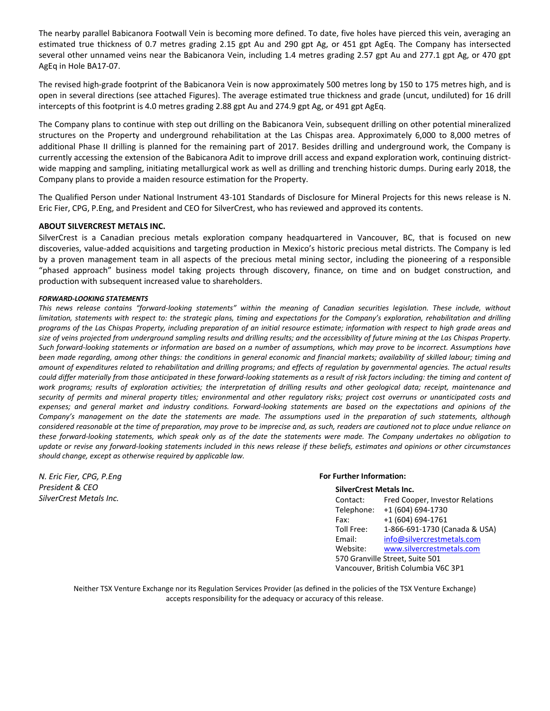The nearby parallel Babicanora Footwall Vein is becoming more defined. To date, five holes have pierced this vein, averaging an estimated true thickness of 0.7 metres grading 2.15 gpt Au and 290 gpt Ag, or 451 gpt AgEq. The Company has intersected several other unnamed veins near the Babicanora Vein, including 1.4 metres grading 2.57 gpt Au and 277.1 gpt Ag, or 470 gpt AgEq in Hole BA17‐07.

The revised high‐grade footprint of the Babicanora Vein is now approximately 500 metres long by 150 to 175 metres high, and is open in several directions (see attached Figures). The average estimated true thickness and grade (uncut, undiluted) for 16 drill intercepts of this footprint is 4.0 metres grading 2.88 gpt Au and 274.9 gpt Ag, or 491 gpt AgEq.

The Company plans to continue with step out drilling on the Babicanora Vein, subsequent drilling on other potential mineralized structures on the Property and underground rehabilitation at the Las Chispas area. Approximately 6,000 to 8,000 metres of additional Phase II drilling is planned for the remaining part of 2017. Besides drilling and underground work, the Company is currently accessing the extension of the Babicanora Adit to improve drill access and expand exploration work, continuing districtwide mapping and sampling, initiating metallurgical work as well as drilling and trenching historic dumps. During early 2018, the Company plans to provide a maiden resource estimation for the Property.

The Qualified Person under National Instrument 43‐101 Standards of Disclosure for Mineral Projects for this news release is N. Eric Fier, CPG, P.Eng, and President and CEO for SilverCrest, who has reviewed and approved its contents.

## **ABOUT SILVERCREST METALS INC.**

SilverCrest is a Canadian precious metals exploration company headquartered in Vancouver, BC, that is focused on new discoveries, value‐added acquisitions and targeting production in Mexico's historic precious metal districts. The Company is led by a proven management team in all aspects of the precious metal mining sector, including the pioneering of a responsible "phased approach" business model taking projects through discovery, finance, on time and on budget construction, and production with subsequent increased value to shareholders.

### *FORWARD‐LOOKING STATEMENTS*

This news release contains "forward-looking statements" within the meaning of Canadian securities legislation. These include, without limitation, statements with respect to: the strategic plans, timing and expectations for the Company's exploration, rehabilitation and drilling programs of the Las Chispas Property, including preparation of an initial resource estimate; information with respect to high grade areas and size of veins projected from underground sampling results and drilling results; and the accessibility of future mining at the Las Chispas Property. Such forward-looking statements or information are based on a number of assumptions, which may prove to be incorrect. Assumptions have been made regarding, among other things: the conditions in general economic and financial markets; availability of skilled labour; timing and amount of expenditures related to rehabilitation and drilling programs; and effects of regulation by governmental agencies. The actual results could differ materially from those anticipated in these forward-looking statements as a result of risk factors including: the timing and content of work programs; results of exploration activities; the interpretation of drilling results and other geological data; receipt, maintenance and security of permits and mineral property titles; environmental and other regulatory risks; project cost overruns or unanticipated costs and expenses; and general market and industry conditions. Forward-looking statements are based on the expectations and opinions of the Company's management on the date the statements are made. The assumptions used in the preparation of such statements, although considered reasonable at the time of preparation, may prove to be imprecise and, as such, readers are cautioned not to place undue reliance on these forward-looking statements, which speak only as of the date the statements were made. The Company undertakes no obligation to update or revise any forward-looking statements included in this news release if these beliefs, estimates and opinions or other circumstances *should change, except as otherwise required by applicable law.*

*N. Eric Fier, CPG, P.Eng President & CEO SilverCrest Metals Inc.*

#### **For Further Information:**

#### **SilverCrest Metals Inc.**

| Contact:                            | Fred Cooper, Investor Relations |  |  |  |  |
|-------------------------------------|---------------------------------|--|--|--|--|
|                                     |                                 |  |  |  |  |
| Telephone:                          | +1 (604) 694-1730               |  |  |  |  |
| Fax:                                | +1 (604) 694-1761               |  |  |  |  |
| Toll Free:                          | 1-866-691-1730 (Canada & USA)   |  |  |  |  |
| Email:                              | info@silvercrestmetals.com      |  |  |  |  |
| Website:                            | www.silvercrestmetals.com       |  |  |  |  |
| 570 Granville Street, Suite 501     |                                 |  |  |  |  |
| Vancouver, British Columbia V6C 3P1 |                                 |  |  |  |  |
|                                     |                                 |  |  |  |  |

Neither TSX Venture Exchange nor its Regulation Services Provider (as defined in the policies of the TSX Venture Exchange) accepts responsibility for the adequacy or accuracy of this release.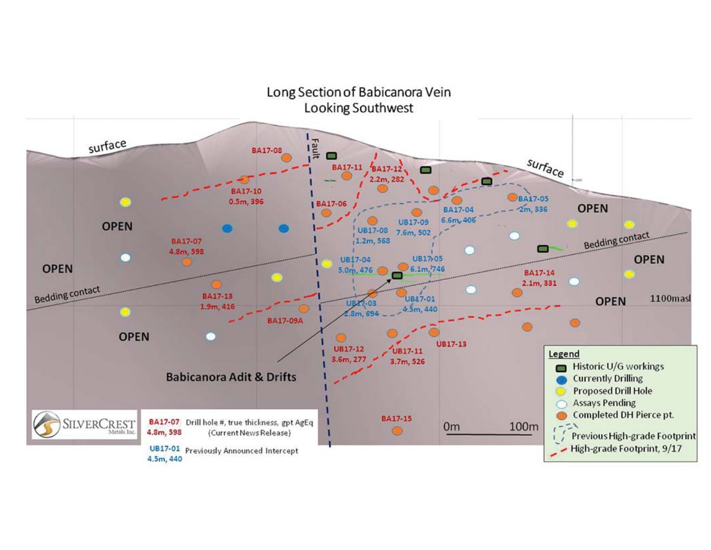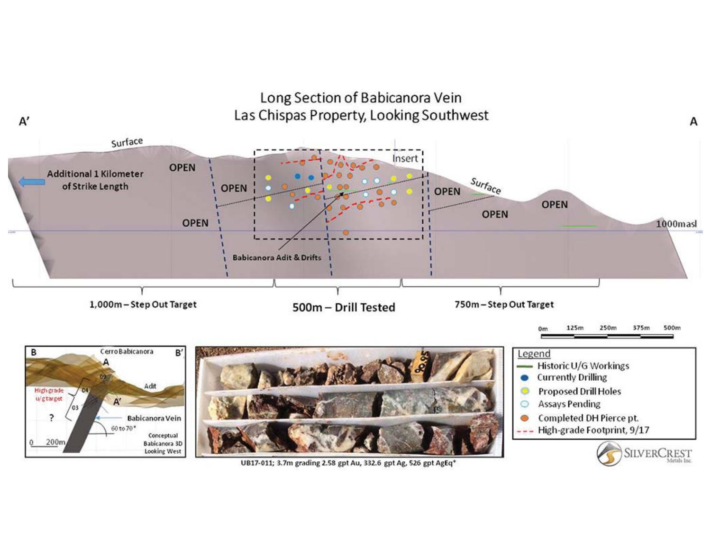

UB17-011; 3.7m grading 2.58 gpt Au, 332.6 gpt Ag, 526 gpt AgEq\*